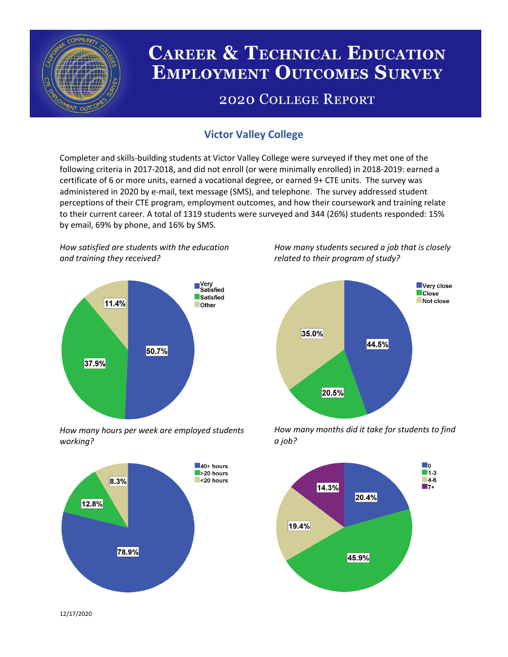

# **CAREER & TECHNICAL EDUCATION EMPLOYMENT OUTCOMES SURVEY**

## **2020 COLLEGE REPORT**

### **Victor Valley College**

Completer and skills-building students at Victor Valley College were surveyed if they met one of the following criteria in 2017-2018, and did not enroll (or were minimally enrolled) in 2018-2019: earned a certificate of 6 or more units, earned a vocational degree, or earned 9+ CTE units. The survey was administered in 2020 by e-mail, text message (SMS), and telephone. The survey addressed student perceptions of their CTE program, employment outcomes, and how their coursework and training relate to their current career. A total of 1319 students were surveyed and 344 (26%) students responded: 15% by email, 69% by phone, and 16% by SMS.

*How satisfied are students with the education and training they received?*



*How many hours per week are employed students working?*



*How many students secured a job that is closely related to their program of study?*



*How many months did it take for students to find a job?*



12/17/2020